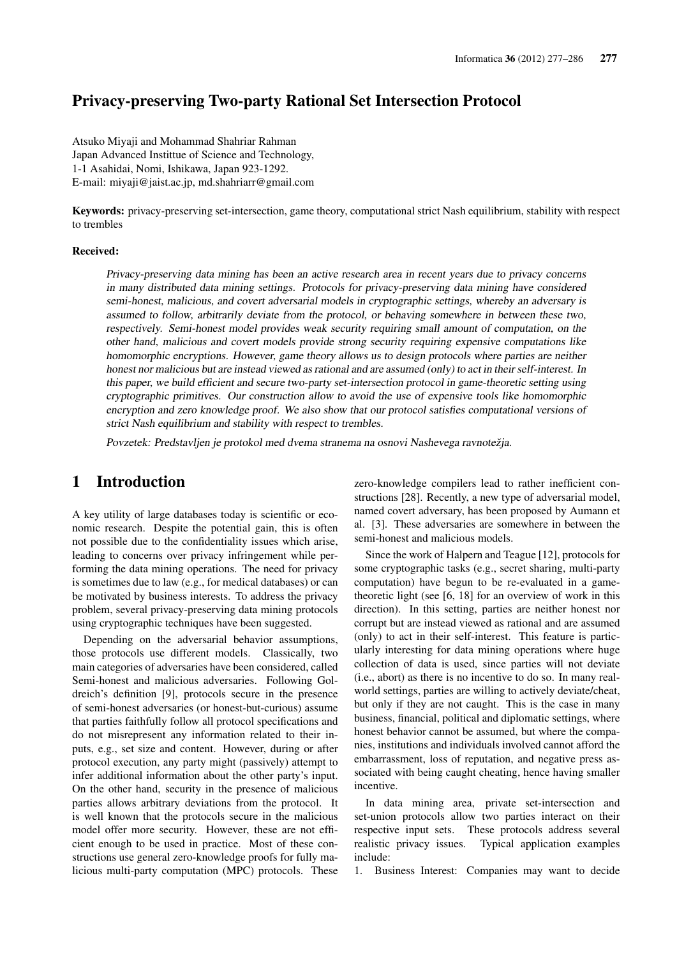## Privacy-preserving Two-party Rational Set Intersection Protocol

Atsuko Miyaji and Mohammad Shahriar Rahman Japan Advanced Instittue of Science and Technology, 1-1 Asahidai, Nomi, Ishikawa, Japan 923-1292. E-mail: miyaji@jaist.ac.jp, md.shahriarr@gmail.com

Keywords: privacy-preserving set-intersection, game theory, computational strict Nash equilibrium, stability with respect to trembles

#### Received:

Privacy-preserving data mining has been an active research area in recent years due to privacy concerns in many distributed data mining settings. Protocols for privacy-preserving data mining have considered semi-honest, malicious, and covert adversarial models in cryptographic settings, whereby an adversary is assumed to follow, arbitrarily deviate from the protocol, or behaving somewhere in between these two, respectively. Semi-honest model provides weak security requiring small amount of computation, on the other hand, malicious and covert models provide strong security requiring expensive computations like homomorphic encryptions. However, game theory allows us to design protocols where parties are neither honest nor malicious but are instead viewed as rational and are assumed (only) to act in their self-interest. In this paper, we build efficient and secure two-party set-intersection protocol in game-theoretic setting using cryptographic primitives. Our construction allow to avoid the use of expensive tools like homomorphic encryption and zero knowledge proof. We also show that our protocol satisfies computational versions of strict Nash equilibrium and stability with respect to trembles.

Povzetek: Predstavljen je protokol med dvema stranema na osnovi Nashevega ravnotežja.

### 1 Introduction

A key utility of large databases today is scientific or economic research. Despite the potential gain, this is often not possible due to the confidentiality issues which arise, leading to concerns over privacy infringement while performing the data mining operations. The need for privacy is sometimes due to law (e.g., for medical databases) or can be motivated by business interests. To address the privacy problem, several privacy-preserving data mining protocols using cryptographic techniques have been suggested.

Depending on the adversarial behavior assumptions, those protocols use different models. Classically, two main categories of adversaries have been considered, called Semi-honest and malicious adversaries. Following Goldreich's definition [9], protocols secure in the presence of semi-honest adversaries (or honest-but-curious) assume that parties faithfully follow all protocol specifications and do not misrepresent any information related to their inputs, e.g., set size and content. However, during or after protocol execution, any party might (passively) attempt to infer additional information about the other party's input. On the other hand, security in the presence of malicious parties allows arbitrary deviations from the protocol. It is well known that the protocols secure in the malicious model offer more security. However, these are not efficient enough to be used in practice. Most of these constructions use general zero-knowledge proofs for fully malicious multi-party computation (MPC) protocols. These zero-knowledge compilers lead to rather inefficient constructions [28]. Recently, a new type of adversarial model, named covert adversary, has been proposed by Aumann et al. [3]. These adversaries are somewhere in between the semi-honest and malicious models.

Since the work of Halpern and Teague [12], protocols for some cryptographic tasks (e.g., secret sharing, multi-party computation) have begun to be re-evaluated in a gametheoretic light (see [6, 18] for an overview of work in this direction). In this setting, parties are neither honest nor corrupt but are instead viewed as rational and are assumed (only) to act in their self-interest. This feature is particularly interesting for data mining operations where huge collection of data is used, since parties will not deviate (i.e., abort) as there is no incentive to do so. In many realworld settings, parties are willing to actively deviate/cheat, but only if they are not caught. This is the case in many business, financial, political and diplomatic settings, where honest behavior cannot be assumed, but where the companies, institutions and individuals involved cannot afford the embarrassment, loss of reputation, and negative press associated with being caught cheating, hence having smaller incentive.

In data mining area, private set-intersection and set-union protocols allow two parties interact on their respective input sets. These protocols address several realistic privacy issues. Typical application examples include:

1. Business Interest: Companies may want to decide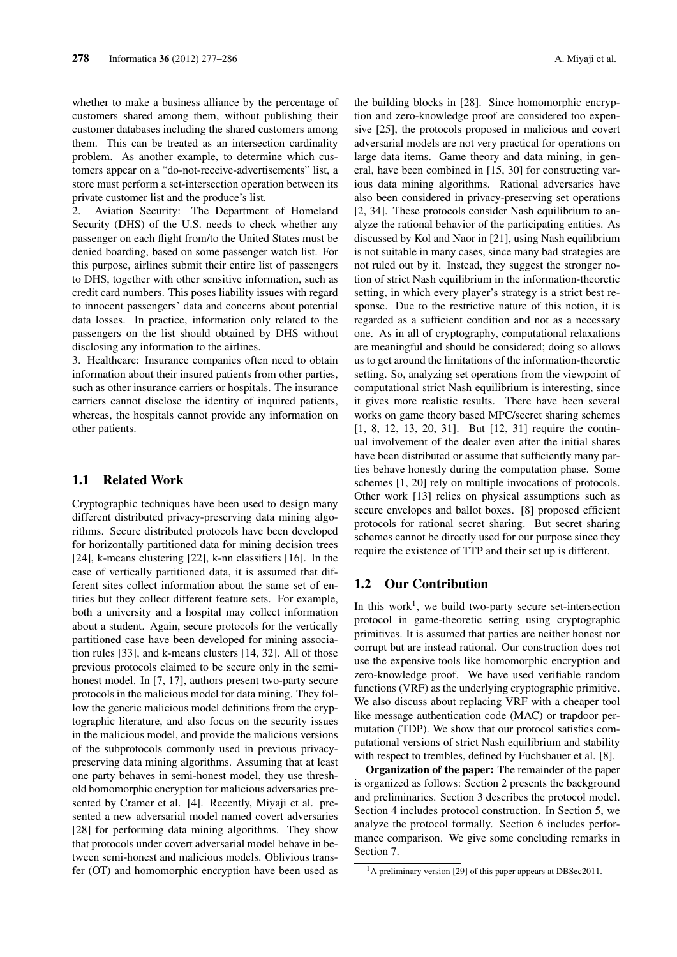whether to make a business alliance by the percentage of customers shared among them, without publishing their customer databases including the shared customers among them. This can be treated as an intersection cardinality problem. As another example, to determine which customers appear on a "do-not-receive-advertisements" list, a store must perform a set-intersection operation between its private customer list and the produce's list.

2. Aviation Security: The Department of Homeland Security (DHS) of the U.S. needs to check whether any passenger on each flight from/to the United States must be denied boarding, based on some passenger watch list. For this purpose, airlines submit their entire list of passengers to DHS, together with other sensitive information, such as credit card numbers. This poses liability issues with regard to innocent passengers' data and concerns about potential data losses. In practice, information only related to the passengers on the list should obtained by DHS without disclosing any information to the airlines.

3. Healthcare: Insurance companies often need to obtain information about their insured patients from other parties, such as other insurance carriers or hospitals. The insurance carriers cannot disclose the identity of inquired patients, whereas, the hospitals cannot provide any information on other patients.

### 1.1 Related Work

Cryptographic techniques have been used to design many different distributed privacy-preserving data mining algorithms. Secure distributed protocols have been developed for horizontally partitioned data for mining decision trees [24], k-means clustering [22], k-nn classifiers [16]. In the case of vertically partitioned data, it is assumed that different sites collect information about the same set of entities but they collect different feature sets. For example, both a university and a hospital may collect information about a student. Again, secure protocols for the vertically partitioned case have been developed for mining association rules [33], and k-means clusters [14, 32]. All of those previous protocols claimed to be secure only in the semihonest model. In [7, 17], authors present two-party secure protocols in the malicious model for data mining. They follow the generic malicious model definitions from the cryptographic literature, and also focus on the security issues in the malicious model, and provide the malicious versions of the subprotocols commonly used in previous privacypreserving data mining algorithms. Assuming that at least one party behaves in semi-honest model, they use threshold homomorphic encryption for malicious adversaries presented by Cramer et al. [4]. Recently, Miyaji et al. presented a new adversarial model named covert adversaries [28] for performing data mining algorithms. They show that protocols under covert adversarial model behave in between semi-honest and malicious models. Oblivious transfer (OT) and homomorphic encryption have been used as the building blocks in [28]. Since homomorphic encryption and zero-knowledge proof are considered too expensive [25], the protocols proposed in malicious and covert adversarial models are not very practical for operations on large data items. Game theory and data mining, in general, have been combined in [15, 30] for constructing various data mining algorithms. Rational adversaries have also been considered in privacy-preserving set operations [2, 34]. These protocols consider Nash equilibrium to analyze the rational behavior of the participating entities. As discussed by Kol and Naor in [21], using Nash equilibrium is not suitable in many cases, since many bad strategies are not ruled out by it. Instead, they suggest the stronger notion of strict Nash equilibrium in the information-theoretic setting, in which every player's strategy is a strict best response. Due to the restrictive nature of this notion, it is regarded as a sufficient condition and not as a necessary one. As in all of cryptography, computational relaxations are meaningful and should be considered; doing so allows us to get around the limitations of the information-theoretic setting. So, analyzing set operations from the viewpoint of computational strict Nash equilibrium is interesting, since it gives more realistic results. There have been several works on game theory based MPC/secret sharing schemes [1, 8, 12, 13, 20, 31]. But [12, 31] require the continual involvement of the dealer even after the initial shares have been distributed or assume that sufficiently many parties behave honestly during the computation phase. Some schemes [1, 20] rely on multiple invocations of protocols. Other work [13] relies on physical assumptions such as secure envelopes and ballot boxes. [8] proposed efficient protocols for rational secret sharing. But secret sharing schemes cannot be directly used for our purpose since they require the existence of TTP and their set up is different.

### 1.2 Our Contribution

In this work<sup>1</sup>, we build two-party secure set-intersection protocol in game-theoretic setting using cryptographic primitives. It is assumed that parties are neither honest nor corrupt but are instead rational. Our construction does not use the expensive tools like homomorphic encryption and zero-knowledge proof. We have used verifiable random functions (VRF) as the underlying cryptographic primitive. We also discuss about replacing VRF with a cheaper tool like message authentication code (MAC) or trapdoor permutation (TDP). We show that our protocol satisfies computational versions of strict Nash equilibrium and stability with respect to trembles, defined by Fuchsbauer et al. [8].

Organization of the paper: The remainder of the paper is organized as follows: Section 2 presents the background and preliminaries. Section 3 describes the protocol model. Section 4 includes protocol construction. In Section 5, we analyze the protocol formally. Section 6 includes performance comparison. We give some concluding remarks in Section 7.

<sup>&</sup>lt;sup>1</sup>A preliminary version [29] of this paper appears at DBSec2011.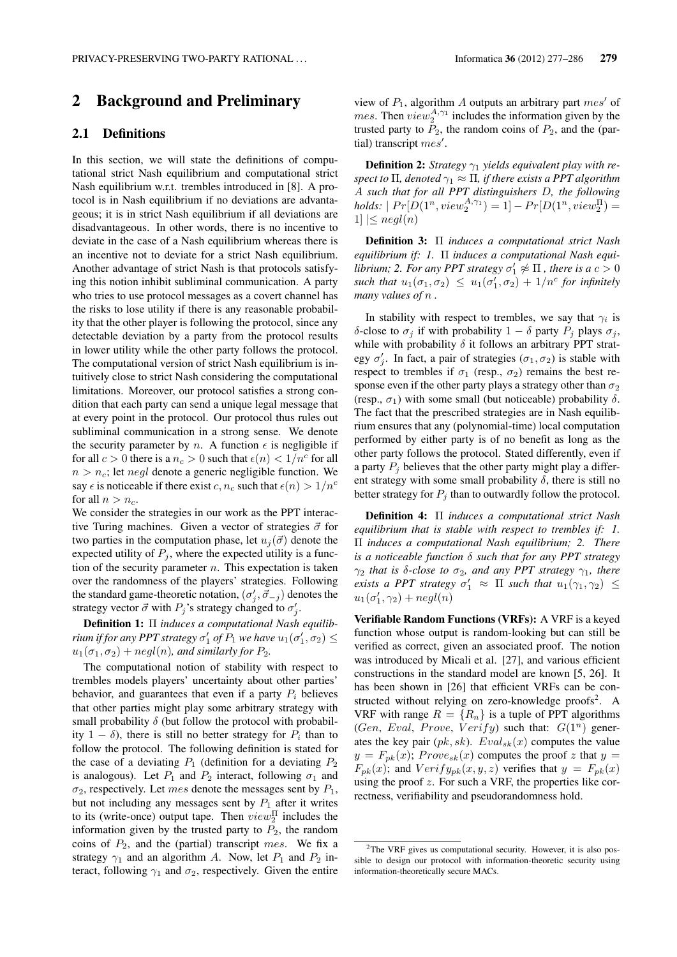## 2 Background and Preliminary

### 2.1 Definitions

In this section, we will state the definitions of computational strict Nash equilibrium and computational strict Nash equilibrium w.r.t. trembles introduced in [8]. A protocol is in Nash equilibrium if no deviations are advantageous; it is in strict Nash equilibrium if all deviations are disadvantageous. In other words, there is no incentive to deviate in the case of a Nash equilibrium whereas there is an incentive not to deviate for a strict Nash equilibrium. Another advantage of strict Nash is that protocols satisfying this notion inhibit subliminal communication. A party who tries to use protocol messages as a covert channel has the risks to lose utility if there is any reasonable probability that the other player is following the protocol, since any detectable deviation by a party from the protocol results in lower utility while the other party follows the protocol. The computational version of strict Nash equilibrium is intuitively close to strict Nash considering the computational limitations. Moreover, our protocol satisfies a strong condition that each party can send a unique legal message that at every point in the protocol. Our protocol thus rules out subliminal communication in a strong sense. We denote the security parameter by *n*. A function  $\epsilon$  is negligible if for all  $c > 0$  there is a  $n_c > 0$  such that  $\epsilon(n) < 1/n^c$  for all  $n > n_c$ ; let *negl* denote a generic negligible function. We say  $\epsilon$  is noticeable if there exist *c*,  $n_c$  such that  $\epsilon(n) > 1/n^c$ for all  $n > n_c$ .

We consider the strategies in our work as the PPT interactive Turing machines. Given a vector of strategies  $\vec{\sigma}$  for two parties in the computation phase, let  $u_j(\vec{\sigma})$  denote the expected utility of  $P_i$ , where the expected utility is a function of the security parameter *n*. This expectation is taken over the randomness of the players' strategies. Following the standard game-theoretic notation,  $(\sigma'_j, \vec{\sigma}_{-j})$  denotes the strategy vector  $\vec{\sigma}$  with  $P_j$ 's strategy changed to  $\sigma'_j$ .

Definition 1: Π *induces a computational Nash equilibrium if for any PPT strategy*  $\sigma'_1$  *of*  $P_1$  *we have*  $u_1(\sigma'_1, \sigma_2) \leq$  $u_1(\sigma_1, \sigma_2) + negl(n)$ *, and similarly for*  $P_2$ *.* 

The computational notion of stability with respect to trembles models players' uncertainty about other parties' behavior, and guarantees that even if a party  $P_i$  believes that other parties might play some arbitrary strategy with small probability  $\delta$  (but follow the protocol with probability  $1 - \delta$ ), there is still no better strategy for  $P_i$  than to follow the protocol. The following definition is stated for the case of a deviating  $P_1$  (definition for a deviating  $P_2$ is analogous). Let  $P_1$  and  $P_2$  interact, following  $\sigma_1$  and  $\sigma_2$ , respectively. Let *mes* denote the messages sent by  $P_1$ , but not including any messages sent by  $P_1$  after it writes to its (write-once) output tape. Then  $view_2^{\Pi}$  includes the information given by the trusted party to  $P_2$ , the random coins of *P*2, and the (partial) transcript *mes*. We fix a strategy  $\gamma_1$  and an algorithm *A*. Now, let  $P_1$  and  $P_2$  interact, following  $\gamma_1$  and  $\sigma_2$ , respectively. Given the entire view of *P*1, algorithm *A* outputs an arbitrary part *mes′* of *mes*. Then  $view_2^{A,\gamma_1}$  includes the information given by the trusted party to  $P_2$ , the random coins of  $P_2$ , and the (partial) transcript *mes′* .

Definition 2: *Strategy γ*<sup>1</sup> *yields equivalent play with respect to*  $\Pi$ *, denoted*  $\gamma_1 \approx \Pi$ *, if there exists a PPT algorithm A such that for all PPT distinguishers D, the following*  $\text{holds: } | Pr[D(1^n, view_2^{A,\gamma_1}) = 1] - Pr[D(1^n, view_2^{\Pi}) =$  $1 \leq$  *negl*(*n*)

Definition 3: Π *induces a computational strict Nash equilibrium if: 1.* Π *induces a computational Nash equilibrium;* 2. For any PPT strategy  $\sigma'_1 \not\approx \Pi$  , there is a  $c > 0$ *such that*  $u_1(\sigma_1, \sigma_2) \leq u_1(\sigma'_1, \sigma_2) + 1/n^c$  for infinitely *many values of n .*

In stability with respect to trembles, we say that  $\gamma_i$  is *δ*-close to  $σ$ <sup>*j*</sup> if with probability 1 − *δ* party  $P$ <sup>*j*</sup> plays  $σ$ <sup>*j*</sup>, while with probability *δ* it follows an arbitrary PPT strategy  $\sigma'_{j}$ . In fact, a pair of strategies ( $\sigma_1, \sigma_2$ ) is stable with respect to trembles if  $\sigma_1$  (resp.,  $\sigma_2$ ) remains the best response even if the other party plays a strategy other than  $\sigma_2$ (resp.,  $\sigma_1$ ) with some small (but noticeable) probability  $\delta$ . The fact that the prescribed strategies are in Nash equilibrium ensures that any (polynomial-time) local computation performed by either party is of no benefit as long as the other party follows the protocol. Stated differently, even if a party  $P_i$  believes that the other party might play a different strategy with some small probability  $\delta$ , there is still no better strategy for  $P_i$  than to outwardly follow the protocol.

Definition 4: Π *induces a computational strict Nash equilibrium that is stable with respect to trembles if: 1.* Π *induces a computational Nash equilibrium; 2. There is a noticeable function δ such that for any PPT strategy γ*<sup>2</sup> *that is δ-close to σ*2*, and any PPT strategy γ*1*, there exists a PPT strategy*  $\sigma'_1$   $\approx$   $\Pi$  *such that*  $u_1(\gamma_1, \gamma_2)$   $\leq$  $u_1(\sigma'_1, \gamma_2) + negl(n)$ 

Verifiable Random Functions (VRFs): A VRF is a keyed function whose output is random-looking but can still be verified as correct, given an associated proof. The notion was introduced by Micali et al. [27], and various efficient constructions in the standard model are known [5, 26]. It has been shown in [26] that efficient VRFs can be constructed without relying on zero-knowledge proofs<sup>2</sup>. A VRF with range  $R = \{R_n\}$  is a tuple of PPT algorithms (*Gen, Eval, Prove, Verify*) such that:  $G(1^n)$  generates the key pair  $(pk, sk)$ .  $Eval_{sk}(x)$  computes the value  $y = F_{pk}(x)$ ; *Prove*<sub>sk</sub> $(x)$  computes the proof *z* that  $y =$  $F_{pk}(x)$ ; and  $Verify_{pk}(x, y, z)$  verifies that  $y = F_{pk}(x)$ using the proof *z*. For such a VRF, the properties like correctness, verifiability and pseudorandomness hold.

 $2$ The VRF gives us computational security. However, it is also possible to design our protocol with information-theoretic security using information-theoretically secure MACs.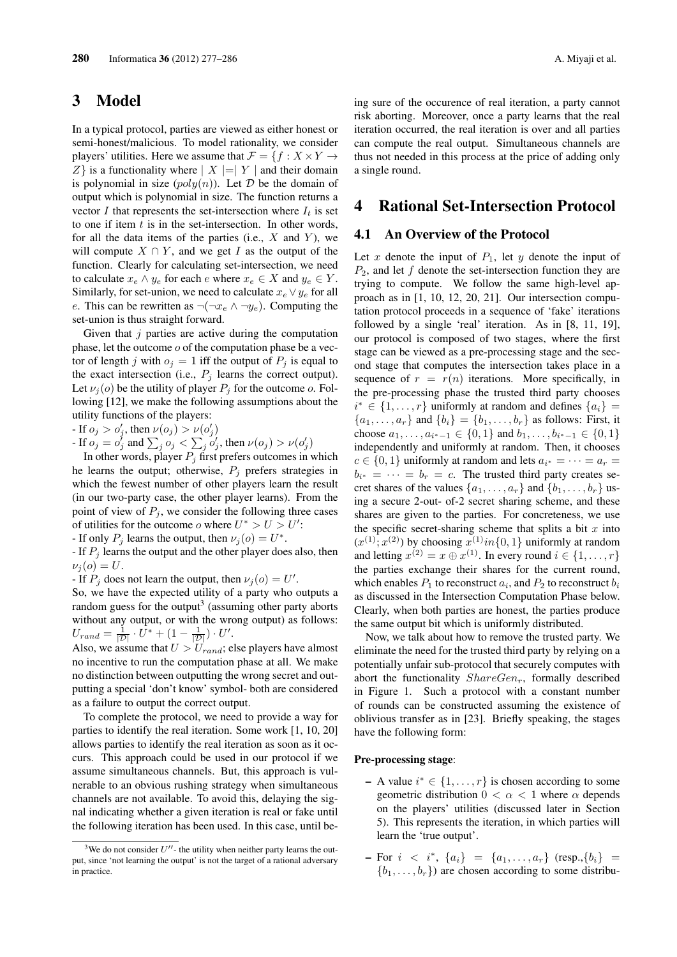## 3 Model

In a typical protocol, parties are viewed as either honest or semi-honest/malicious. To model rationality, we consider players' utilities. Here we assume that  $\mathcal{F} = \{f : X \times Y \to Y\}$ *Z}* is a functionality where *| X |*=*| Y |* and their domain is polynomial in size  $(poly(n))$ . Let  $D$  be the domain of output which is polynomial in size. The function returns a vector *I* that represents the set-intersection where  $I_t$  is set to one if item *t* is in the set-intersection. In other words, for all the data items of the parties (i.e., *X* and *Y* ), we will compute  $X \cap Y$ , and we get *I* as the output of the function. Clearly for calculating set-intersection, we need to calculate  $x_e \wedge y_e$  for each  $e$  where  $x_e \in X$  and  $y_e \in Y$ . Similarly, for set-union, we need to calculate  $x_e \vee y_e$  for all *e*. This can be rewritten as  $\neg(\neg x_e \land \neg y_e)$ . Computing the set-union is thus straight forward.

Given that *j* parties are active during the computation phase, let the outcome *o* of the computation phase be a vector of length *j* with  $o_j = 1$  iff the output of  $P_j$  is equal to the exact intersection (i.e.,  $P_j$  learns the correct output). Let  $\nu_j(o)$  be the utility of player  $P_j$  for the outcome *o*. Following [12], we make the following assumptions about the utility functions of the players:

- If  $o_j > o'_j$ , then  $\nu(o_j) > \nu(o'_j)$ 

- If  $o_j = o_j^j$  and  $\sum_j o_j < \sum_j o_j^j$ , then  $\nu(o_j) > \nu(o_j^j)$ 

In other words, player  $P_j$  first prefers outcomes in which he learns the output; otherwise,  $P_i$  prefers strategies in which the fewest number of other players learn the result (in our two-party case, the other player learns). From the point of view of  $P_j$ , we consider the following three cases of utilities for the outcome *o* where  $U^* > U > U'$ :

- If only  $P_j$  learns the output, then  $\nu_j(o) = U^*$ .

- If *P<sup>j</sup>* learns the output and the other player does also, then  $\nu_i(o) = U.$ 

- If  $P_j$  does not learn the output, then  $\nu_j(o) = U'$ .

So, we have the expected utility of a party who outputs a random guess for the output<sup>3</sup> (assuming other party aborts without any output, or with the wrong output) as follows:  $U_{rand} = \frac{1}{|\mathcal{D}|} \cdot U^* + \left(1 - \frac{1}{|\mathcal{D}|}\right) \cdot U'.$ 

Also, we assume that  $U > U_{rand}$ ; else players have almost no incentive to run the computation phase at all. We make no distinction between outputting the wrong secret and outputting a special 'don't know' symbol- both are considered as a failure to output the correct output.

To complete the protocol, we need to provide a way for parties to identify the real iteration. Some work [1, 10, 20] allows parties to identify the real iteration as soon as it occurs. This approach could be used in our protocol if we assume simultaneous channels. But, this approach is vulnerable to an obvious rushing strategy when simultaneous channels are not available. To avoid this, delaying the signal indicating whether a given iteration is real or fake until the following iteration has been used. In this case, until being sure of the occurence of real iteration, a party cannot risk aborting. Moreover, once a party learns that the real iteration occurred, the real iteration is over and all parties can compute the real output. Simultaneous channels are thus not needed in this process at the price of adding only a single round.

### 4 Rational Set-Intersection Protocol

### 4.1 An Overview of the Protocol

Let  $x$  denote the input of  $P_1$ , let  $y$  denote the input of *P*2, and let *f* denote the set-intersection function they are trying to compute. We follow the same high-level approach as in [1, 10, 12, 20, 21]. Our intersection computation protocol proceeds in a sequence of 'fake' iterations followed by a single 'real' iteration. As in [8, 11, 19], our protocol is composed of two stages, where the first stage can be viewed as a pre-processing stage and the second stage that computes the intersection takes place in a sequence of  $r = r(n)$  iterations. More specifically, in the pre-processing phase the trusted third party chooses *i*<sup>\*</sup> ∈ {1, . . . , *r*} uniformly at random and defines { $a_i$ } =  ${a_1, \ldots, a_r}$  and  ${b_i} = {b_1, \ldots, b_r}$  as follows: First, it choose  $a_1, \ldots, a_{i^*-1} \in \{0, 1\}$  and  $b_1, \ldots, b_{i^*-1} \in \{0, 1\}$ independently and uniformly at random. Then, it chooses  $c \in \{0, 1\}$  uniformly at random and lets  $a_{i^*} = \cdots = a_r =$  $b_{i^*} = \cdots = b_r = c$ . The trusted third party creates secret shares of the values  $\{a_1, \ldots, a_r\}$  and  $\{b_1, \ldots, b_r\}$  using a secure 2-out- of-2 secret sharing scheme, and these shares are given to the parties. For concreteness, we use the specific secret-sharing scheme that splits a bit *x* into  $(x^{(1)}; x^{(2)})$  by choosing  $x^{(1)}$ *in* $\{0, 1\}$  uniformly at random and letting  $x^{(2)} = x \oplus x^{(1)}$ . In every round  $i \in \{1, ..., r\}$ the parties exchange their shares for the current round, which enables  $P_1$  to reconstruct  $a_i$ , and  $P_2$  to reconstruct  $b_i$ as discussed in the Intersection Computation Phase below. Clearly, when both parties are honest, the parties produce the same output bit which is uniformly distributed.

Now, we talk about how to remove the trusted party. We eliminate the need for the trusted third party by relying on a potentially unfair sub-protocol that securely computes with abort the functionality *ShareGenr*, formally described in Figure 1. Such a protocol with a constant number of rounds can be constructed assuming the existence of oblivious transfer as in [23]. Briefly speaking, the stages have the following form:

#### Pre-processing stage:

- A value *i <sup>∗</sup> ∈ {*1*, . . . , r}* is chosen according to some geometric distribution  $0 < \alpha < 1$  where  $\alpha$  depends on the players' utilities (discussed later in Section 5). This represents the iteration, in which parties will learn the 'true output'.
- For *i < i<sup>∗</sup>* , *{ai}* = *{a*1*, . . . , ar}* (resp.,*{bi}* =  ${b_1, \ldots, b_r}$  are chosen according to some distribu-

<sup>&</sup>lt;sup>3</sup>We do not consider  $U''$ - the utility when neither party learns the output, since 'not learning the output' is not the target of a rational adversary in practice.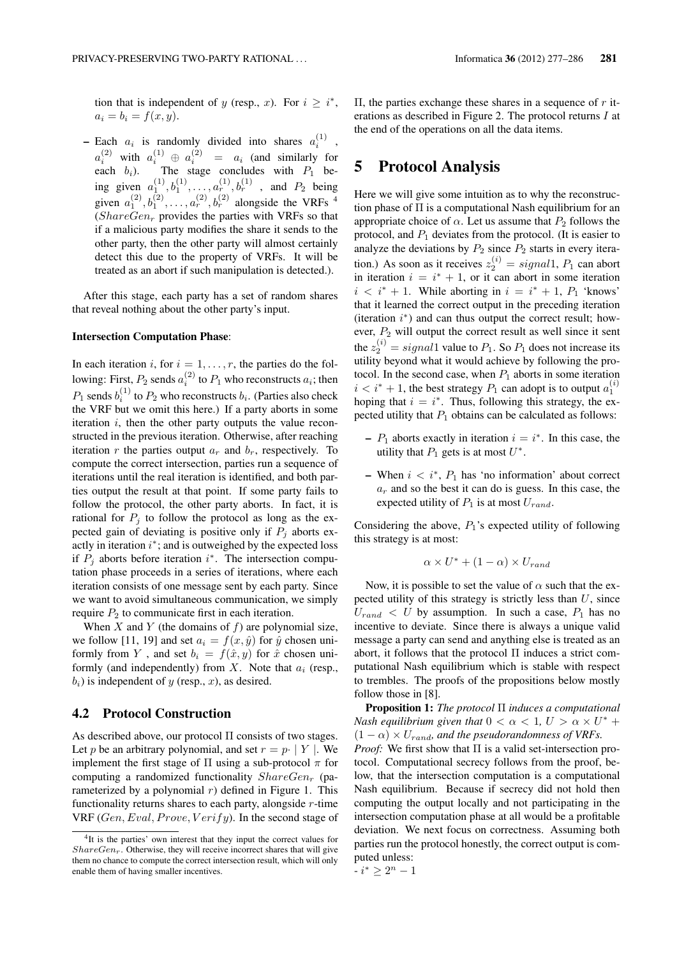tion that is independent of *y* (resp., *x*). For  $i \geq i^*$ ,  $a_i = b_i = f(x, y).$ 

- Each  $a_i$  is randomly divided into shares  $a_i^{(1)}$ ,  $a_i^{(2)}$  with  $a_i^{(1)} \oplus a_i^{(2)} = a_i$  (and similarly for each  $b_i$ ). The stage concludes with  $P_1$  being given  $a_1^{(1)}, b_1^{(1)}, \ldots, a_r^{(1)}, b_r^{(1)}$ , and  $P_2$  being given  $a_1^{(2)}, b_1^{(2)}, \ldots, a_r^{(2)}, b_r^{(2)}$  alongside the VRFs <sup>4</sup>  $(ShareGen<sub>r</sub>$  provides the parties with VRFs so that if a malicious party modifies the share it sends to the other party, then the other party will almost certainly detect this due to the property of VRFs. It will be treated as an abort if such manipulation is detected.).

After this stage, each party has a set of random shares that reveal nothing about the other party's input.

#### Intersection Computation Phase:

In each iteration *i*, for  $i = 1, \ldots, r$ , the parties do the following: First,  $P_2$  sends  $a_i^{(2)}$  to  $P_1$  who reconstructs  $a_i$ ; then  $P_1$  sends  $b_i^{(1)}$  to  $P_2$  who reconstructs  $b_i$ . (Parties also check the VRF but we omit this here.) If a party aborts in some iteration *i*, then the other party outputs the value reconstructed in the previous iteration. Otherwise, after reaching iteration *r* the parties output  $a_r$  and  $b_r$ , respectively. To compute the correct intersection, parties run a sequence of iterations until the real iteration is identified, and both parties output the result at that point. If some party fails to follow the protocol, the other party aborts. In fact, it is rational for  $P_i$  to follow the protocol as long as the expected gain of deviating is positive only if  $P_i$  aborts exactly in iteration *i ∗* ; and is outweighed by the expected loss if  $P_j$  aborts before iteration  $i^*$ . The intersection computation phase proceeds in a series of iterations, where each iteration consists of one message sent by each party. Since we want to avoid simultaneous communication, we simply require  $P_2$  to communicate first in each iteration.

When *X* and *Y* (the domains of *f*) are polynomial size, we follow [11, 19] and set  $a_i = f(x, \hat{y})$  for  $\hat{y}$  chosen uniformly from *Y*, and set  $b_i = f(\hat{x}, y)$  for  $\hat{x}$  chosen uniformly (and independently) from *X*. Note that *a<sup>i</sup>* (resp.,  $b_i$ ) is independent of *y* (resp., *x*), as desired.

### 4.2 Protocol Construction

As described above, our protocol Π consists of two stages. Let *p* be an arbitrary polynomial, and set  $r = p \cdot |Y|$ . We implement the first stage of Π using a sub-protocol *π* for computing a randomized functionality *ShareGen<sup>r</sup>* (parameterized by a polynomial  $r$ ) defined in Figure 1. This functionality returns shares to each party, alongside *r*-time VRF (*Gen, Eval, Prove, V erify*). In the second stage of Π, the parties exchange these shares in a sequence of *r* iterations as described in Figure 2. The protocol returns *I* at the end of the operations on all the data items.

## 5 Protocol Analysis

Here we will give some intuition as to why the reconstruction phase of  $\Pi$  is a computational Nash equilibrium for an appropriate choice of  $\alpha$ . Let us assume that  $P_2$  follows the protocol, and  $P_1$  deviates from the protocol. (It is easier to analyze the deviations by  $P_2$  since  $P_2$  starts in every iteration.) As soon as it receives  $z_2^{(i)} = signal1$ ,  $P_1$  can abort in iteration  $i = i^* + 1$ , or it can abort in some iteration  $i < i^* + 1$ . While aborting in  $i = i^* + 1$ ,  $P_1$  'knows' that it learned the correct output in the preceding iteration (iteration *i ∗* ) and can thus output the correct result; however,  $P_2$  will output the correct result as well since it sent the  $z_2^{(i)} = signal1$  value to  $P_1$ . So  $P_1$  does not increase its utility beyond what it would achieve by following the protocol. In the second case, when  $P_1$  aborts in some iteration  $i < i^* + 1$ , the best strategy  $P_1$  can adopt is to output  $a_1^{(i)}$ hoping that  $i = i^*$ . Thus, following this strategy, the expected utility that *P*<sup>1</sup> obtains can be calculated as follows:

- $-P_1$  aborts exactly in iteration  $i = i^*$ . In this case, the utility that  $P_1$  gets is at most  $U^*$ .
- When *i < i<sup>∗</sup>* , *P*<sup>1</sup> has 'no information' about correct  $a_r$  and so the best it can do is guess. In this case, the expected utility of  $P_1$  is at most  $U_{rand}$ .

Considering the above,  $P_1$ 's expected utility of following this strategy is at most:

$$
\alpha \times U^* + (1 - \alpha) \times U_{rand}
$$

Now, it is possible to set the value of  $\alpha$  such that the expected utility of this strategy is strictly less than *U*, since  $U_{rand} < U$  by assumption. In such a case,  $P_1$  has no incentive to deviate. Since there is always a unique valid message a party can send and anything else is treated as an abort, it follows that the protocol Π induces a strict computational Nash equilibrium which is stable with respect to trembles. The proofs of the propositions below mostly follow those in [8].

Proposition 1: *The protocol* Π *induces a computational Nash equilibrium given that*  $0 < \alpha < 1$ ,  $U > \alpha \times U^*$  +  $(1 - \alpha) \times U_{rand}$ *, and the pseudorandomness of VRFs. Proof:* We first show that Π is a valid set-intersection protocol. Computational secrecy follows from the proof, below, that the intersection computation is a computational Nash equilibrium. Because if secrecy did not hold then computing the output locally and not participating in the intersection computation phase at all would be a profitable deviation. We next focus on correctness. Assuming both parties run the protocol honestly, the correct output is computed unless:

<sup>&</sup>lt;sup>4</sup>It is the parties' own interest that they input the correct values for *ShareGenr*. Otherwise, they will receive incorrect shares that will give them no chance to compute the correct intersection result, which will only enable them of having smaller incentives.

 $i^* \geq 2^n - 1$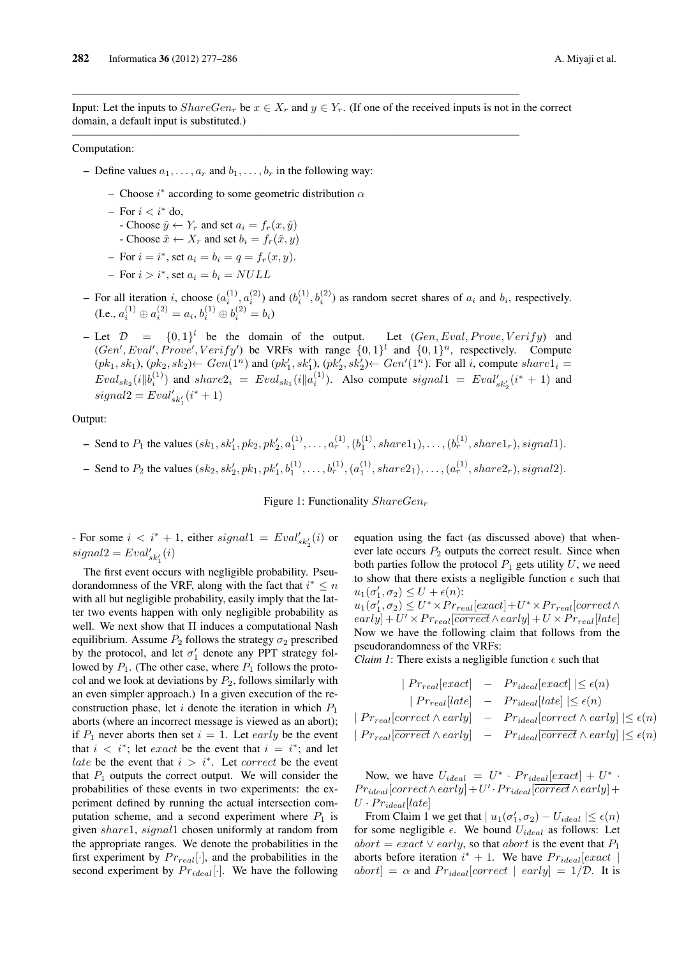Input: Let the inputs to  $ShareGen_r$  be  $x \in X_r$  and  $y \in Y_r$ . (If one of the received inputs is not in the correct domain, a default input is substituted.)

———————————————————————————————————————–

 $\mathcal{L}=\{1,2,3,4\}$  , we can consider the constant of  $\mathcal{L}=\{1,2,3,4\}$ 

#### Computation:

- Define values  $a_1, \ldots, a_r$  and  $b_1, \ldots, b_r$  in the following way:
	- Choose *i ∗* according to some geometric distribution *α*
	- For *i < i<sup>∗</sup>* do,
	- $\hat{y} \leftarrow Y_r$  and set  $a_i = f_r(x, \hat{y})$
	- Choose  $\hat{x} \leftarrow X_r$  and set  $b_i = f_r(\hat{x}, y)$
	- $-$  For  $i = i^*$ , set  $a_i = b_i = q = f_r(x, y)$ .
	- For *i > i<sup>∗</sup>* , set *a<sup>i</sup>* = *b<sup>i</sup>* = *NULL*
- $\blacksquare$  For all iteration *i*, choose  $(a_i^{(1)}, a_i^{(2)})$  and  $(b_i^{(1)}, b_i^{(2)})$  as random secret shares of  $a_i$  and  $b_i$ , respectively.  $(a_i \cdot a_i^{(1)} \oplus a_i^{(2)} = a_i, b_i^{(1)} \oplus b_i^{(2)} = b_i)$
- $-$  Let  $\mathcal{D} = \{0, 1\}^l$  be the domain of the output. *let (Gen, Eval, Prove, V erify)* and  $(Gen',Eval', Prove', Verify')$  be VRFs with range  $\{0,1\}$ <sup>l</sup> and  $\{0,1\}$ <sup>n</sup>, respectively. Compute  $(pk_1, sk_1), (pk_2, sk_2) \leftarrow Gen(1^n)$  and  $(pk'_1, sk'_1), (pk'_2, sk'_2) \leftarrow Gen'(1^n)$ . For all i, compute  $share1_i =$  $Eval_{sk_2}(i||b_i^{(1)})$  and  $share2_i =Eval_{sk_1}(i||a_i^{(1)})$ . Also compute  $signal1 =Eval'_{sk'_2}(i^* + 1)$  and  $signal2 = Eval'_{sk'_1}(i^* + 1)$

Output:

- Send to  $P_1$  the values  $(sk_1, sk'_1, pk_2, pk'_2, a_1^{(1)}, \ldots, a_r^{(1)}, (b_1^{(1)}, shared_1), \ldots, (b_r^{(1)}, shared_r), signal1).$
- Send to  $P_2$  the values  $(sk_2, sk'_2, pk_1, pk'_1, b_1^{(1)}, \ldots, b_r^{(1)}, (a_1^{(1)}, share2_1), \ldots, (a_r^{(1)}, share2_r), signal2).$

Figure 1: Functionality *ShareGen<sup>r</sup>*

 $-$  For some  $i < i^* + 1$ , either  $signal1 = Eval'_{sk'_2}(i)$  or  $signal2 = Eval'_{sk'_1}(i)$ 

The first event occurs with negligible probability. Pseudorandomness of the VRF, along with the fact that  $i^* \leq n$ with all but negligible probability, easily imply that the latter two events happen with only negligible probability as well. We next show that Π induces a computational Nash equilibrium. Assume  $P_2$  follows the strategy  $\sigma_2$  prescribed by the protocol, and let  $\sigma'_{1}$  denote any PPT strategy followed by  $P_1$ . (The other case, where  $P_1$  follows the protocol and we look at deviations by  $P_2$ , follows similarly with an even simpler approach.) In a given execution of the reconstruction phase, let *i* denote the iteration in which  $P_1$ aborts (where an incorrect message is viewed as an abort); if  $P_1$  never aborts then set  $i = 1$ . Let *early* be the event that  $i < i^*$ ; let *exact* be the event that  $i = i^*$ ; and let *late* be the event that *i > i<sup>∗</sup>* . Let *correct* be the event that  $P_1$  outputs the correct output. We will consider the probabilities of these events in two experiments: the experiment defined by running the actual intersection computation scheme, and a second experiment where  $P_1$  is given *share*1, *signal*1 chosen uniformly at random from the appropriate ranges. We denote the probabilities in the first experiment by  $Pr_{real}[\cdot]$ , and the probabilities in the second experiment by  $Pr_{ideal}[\cdot]$ . We have the following equation using the fact (as discussed above) that whenever late occurs  $P_2$  outputs the correct result. Since when both parties follow the protocol  $P_1$  gets utility  $U$ , we need to show that there exists a negligible function  $\epsilon$  such that  $u_1(\sigma'_1, \sigma_2) \leq U + \epsilon(n)$ :

 $u_1(\sigma'_1, \sigma_2) \le U^* \times Pr_{real}[exact] + U^* \times Pr_{real}[correct \wedge$  $\frac{1}{2}$  *(early*) + *U*  $\times$  *Pr*<sub>real</sub>[*late*] Now we have the following claim that follows from the pseudorandomness of the VRFs:

*Claim 1*: There exists a negligible function  $\epsilon$  such that

$$
|Pr_{real}[exact] - Pr_{ideal}[exact] | \leq \epsilon(n)
$$
  
\n
$$
|Pr_{real}[late] - Pr_{ideal}[late] | \leq \epsilon(n)
$$
  
\n
$$
|Pr_{real}[correct \wedge early] - Pr_{ideal}[correct \wedge early] | \leq \epsilon(n)
$$
  
\n
$$
|Pr_{real}[correct \wedge early] - Pr_{ideal}[correct \wedge early] | \leq \epsilon(n)
$$

Now, we have  $U_{ideal} = U^* \cdot Pr_{ideal}[exact] + U^* \cdot$  $Pr_{ideal}[correct \land early] + U' \cdot Pr_{ideal}[correct \land early] + \$  $U \cdot Pr_{ideal}[late]$ 

From Claim 1 we get that  $| u_1(\sigma'_1, \sigma_2) - U_{ideal} | \leq \epsilon(n)$ for some negligible  $\epsilon$ . We bound  $U_{ideal}$  as follows: Let  $abort = exact \vee early$ , so that *abort* is the event that  $P_1$ aborts before iteration  $i^* + 1$ . We have  $Pr_{ideal}[exact]$  $abort$  =  $\alpha$  and  $Pr_{ideal}$  [*correct* | *early*] = 1/*D*. It is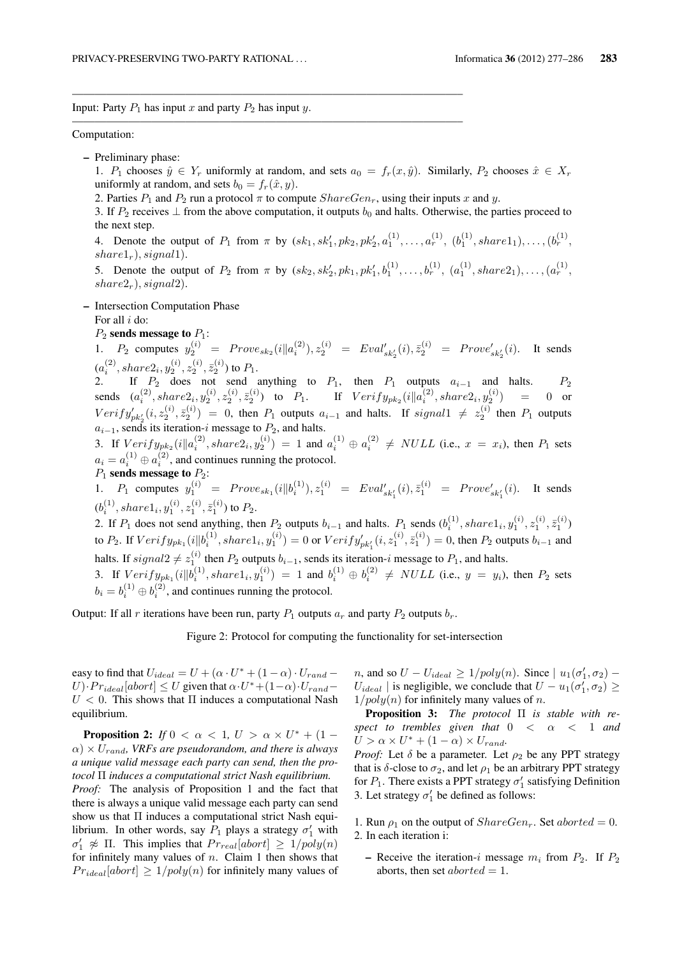Input: Party  $P_1$  has input  $x$  and party  $P_2$  has input  $y$ .

#### Computation:

- Preliminary phase:
	- 1. *P*<sub>1</sub> chooses  $\hat{y}$  ∈ *Y<sub>r</sub>* uniformly at random, and sets  $a_0 = f_r(x, \hat{y})$ . Similarly, *P*<sub>2</sub> chooses  $\hat{x}$  ∈ *X<sub>r</sub>* uniformly at random, and sets  $b_0 = f_r(\hat{x}, y)$ .
	- 2. Parties  $P_1$  and  $P_2$  run a protocol  $\pi$  to compute  $ShareGen_r$ , using their inputs  $x$  and  $y$ .

——————————————————————————————————–

——————————————————————————————————–

- 3. If  $P_2$  receives  $⊥$  from the above computation, it outputs  $b_0$  and halts. Otherwise, the parties proceed to the next step.
- 4. Denote the output of  $P_1$  from  $\pi$  by  $(sk_1, sk'_1, pk_2, pk'_2, a_1^{(1)}, \ldots, a_r^{(1)}, (b_1^{(1)}, share1_1), \ldots, (b_r^{(1)}, b_r^{(1)}, b_r^{(1)}, b_r^{(1)}, b_r^{(1)}, b_r^{(1)}, b_r^{(1)}, b_r^{(1)}, b_r^{(1)}, b_r^{(1)}, b_r^{(1)}, b_r^{(1)}, b_r^{(1)}, b_r^{(1)}, b_r^{(1)}, b_r^{(1)}, b_r^{(1)}, b_r^{(1)}, b_r^{(1)}, b_r^{(1)}, b_r^{(1)},$  $shared<sub>r</sub>$ *), signal*<sub>1</sub>*).*

5. Denote the output of  $P_2$  from  $\pi$  by  $(sk_2, sk'_2, pk_1, pk'_1, b_1^{(1)}, \ldots, b_r^{(1)}, (a_1^{(1)}, share2_1), \ldots, (a_r^{(1)},$  $share2<sub>r</sub>$ *), signal*2*).* 

– Intersection Computation Phase

For all *i* do:

 $P_2$  sends message to  $P_1$ :

1.  $P_2$  computes  $y_2^{(i)} = Prove_{sk_2}(i||a_i^{(2)}), z_2^{(i)} = Eval'_{sk'_2}(i), \bar{z}_2^{(i)} = Prove'_{sk'_2}(i)$ . It sends  $(a_i^{(2)}, share2_i, y_2^{(i)}, z_2^{(i)}, \bar{z}_2^{(i)})$  to  $P_1.$ 

2. If *P*<sub>2</sub> does not send anything to *P*<sub>1</sub>, then *P*<sub>1</sub> outputs *a*<sub>*i*</sub>-1 and halts. *P*<sub>2</sub> sends  $(a_i^{(2)}, share 2_i, y_2^{(i)}, z_2^{(i)}, \bar{z}_2^{(i)})$  to  $P_1$ . If  $Verify_{pk_2}(i||a_i^{(2)}, share 2_i, y_2^{(i)}) = 0$  or  $Verify'_{pk'_2}(i, z_2^{(i)}, \bar{z}_2^{(i)}) = 0$ , then  $P_1$  outputs  $a_{i-1}$  and halts. If  $signal1 \neq z_2^{(i)}$  then  $P_1$  outputs  $a_{i-1}$ , sends its iteration-*i* message to  $P_2$ , and halts.

3. If  $Verify_{pk_2}(i||a_i^{(2)}, share2_i, y_2^{(i)}) = 1$  and  $a_i^{(1)} \oplus a_i^{(2)} \neq NULL$  (i.e.,  $x = x_i$ ), then  $P_1$  sets  $a_i = a_i^{(1)} \oplus a_i^{(2)}$ , and continues running the protocol.

*P*<sup>1</sup> sends message to *P*2:

1.  $P_1$  computes  $y_1^{(i)} = Prove_{sk_1}(i||b_i^{(1)}), z_1^{(i)} = Eval'_{sk'_1}(i), \bar{z}_1^{(i)} = Prove'_{sk'_1}$ (*i*). It sends  $(b_i^{(1)}, share1_i, y_1^{(i)}, z_1^{(i)}, \bar{z}_1^{(i)})$  to  $P_2.$ 

2. If  $P_1$  does not send anything, then  $P_2$  outputs  $b_{i-1}$  and halts.  $P_1$  sends  $(b_i^{(1)}, share1_i, y_1^{(i)}, z_1^{(i)}, \overline{z}_1^{(i)})$ to  $P_2$ . If  $Verify_{pk_1}(i||b_i^{(1)}, share1_i, y_1^{(i)}) = 0$  or  $Verify'_{pk'_1}(i, z_1^{(i)}, \bar{z}_1^{(i)}) = 0$ , then  $P_2$  outputs  $b_{i-1}$  and halts. If  $signal2 \neq z_1^{(i)}$  then  $P_2$  outputs  $b_{i-1}$ , sends its iteration-*i* message to  $P_1$ , and halts.

3. If  $Verify_{pk_1}(i||b_i^{(1)}, share1_i, y_1^{(i)}) = 1$  and  $b_i^{(1)} \oplus b_i^{(2)} \neq NULL$  (i.e.,  $y = y_i$ ), then  $P_2$  sets  $b_i = b_i^{(1)} \oplus b_i^{(2)}$ , and continues running the protocol.

Output: If all *r* iterations have been run, party  $P_1$  outputs  $a_r$  and party  $P_2$  outputs  $b_r$ .

Figure 2: Protocol for computing the functionality for set-intersection

easy to find that  $U_{ideal} = U + (\alpha \cdot U^* + (1 - \alpha) \cdot U_{rand} - \alpha)$  $U$ )*·Pr*<sub>*ideal*</sub>[*abort*]  $\leq U$  given that  $\alpha \cdot U^* + (1-\alpha) \cdot U_{rand}$  $U < 0$ . This shows that  $\Pi$  induces a computational Nash equilibrium.

**Proposition 2:** *If*  $0 < \alpha < 1$ ,  $U > \alpha \times U^* + (1 - \alpha)^{-1}$  $\alpha$ )  $\times$   $U_{rand}$ *, VRFs are pseudorandom, and there is always a unique valid message each party can send, then the protocol* Π *induces a computational strict Nash equilibrium.*

*Proof:* The analysis of Proposition 1 and the fact that there is always a unique valid message each party can send show us that  $\Pi$  induces a computational strict Nash equilibrium. In other words, say  $P_1$  plays a strategy  $\sigma'_1$  with  $\sigma'_{1} \not\approx \Pi$ . This implies that  $Pr_{real}[abort] \geq 1/poly(n)$ for infinitely many values of *n*. Claim 1 then shows that  $Pr_{ideal}[abort] \geq 1/poly(n)$  for infinitely many values of

*n*, and so  $U - U_{ideal} \ge 1/poly(n)$ . Since  $| u_1(\sigma'_1, \sigma_2) -$ *U*<sub>ideal</sub> | is negligible, we conclude that  $U - u_1(\sigma'_1, \sigma_2) \geq$ 1*/poly*(*n*) for infinitely many values of *n*.

Proposition 3: *The protocol* Π *is stable with respect to trembles given that* 0 *< α <* 1 *and*  $U > \alpha \times U^* + (1 - \alpha) \times U_{rand}.$ 

*Proof:* Let  $\delta$  be a parameter. Let  $\rho_2$  be any PPT strategy that is  $\delta$ -close to  $\sigma_2$ , and let  $\rho_1$  be an arbitrary PPT strategy for  $P_1$ . There exists a PPT strategy  $\sigma'_1$  satisfying Definition 3. Let strategy  $\sigma'_1$  be defined as follows:

- 1. Run  $\rho_1$  on the output of *ShareGen<sub>r</sub>*. Set *aborted* = 0. 2. In each iteration i:
	- Receive the iteration-*i* message  $m_i$  from  $P_2$ . If  $P_2$ aborts, then set *.*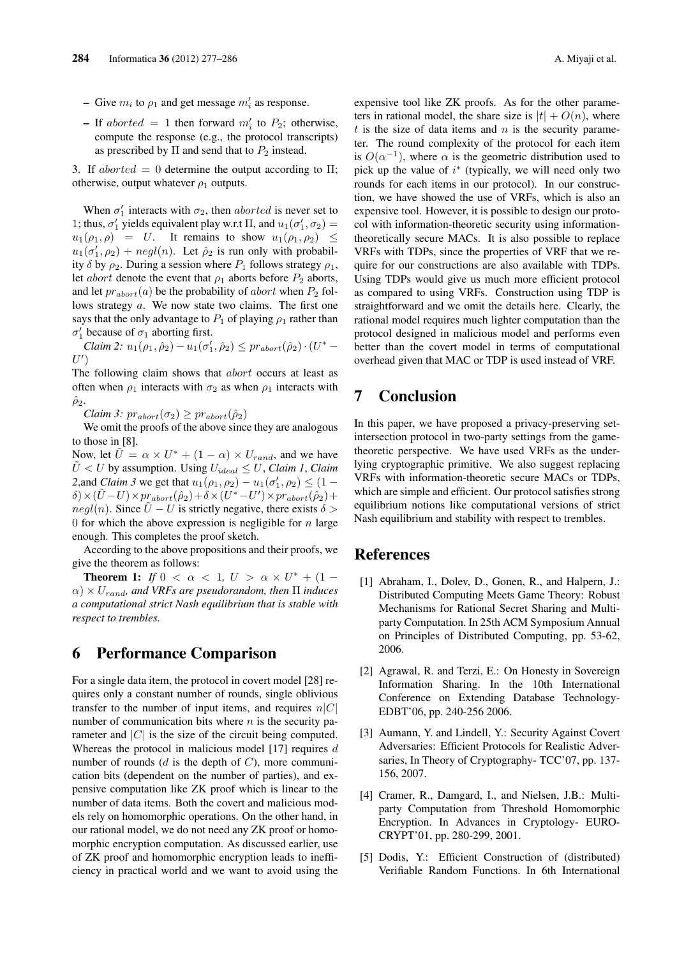- $\sim$  Give  $m_i$  to  $\rho_1$  and get message  $m'_i$  as response.
- $-$  If *aborted* = 1 then forward  $m'_i$  to  $P_2$ ; otherwise, compute the response (e.g., the protocol transcripts) as prescribed by  $\Pi$  and send that to  $P_2$  instead.

3. If  $aborted = 0$  determine the output according to  $\Pi$ ; otherwise, output whatever  $\rho_1$  outputs.

When  $\sigma'_{1}$  interacts with  $\sigma_{2}$ , then *aborted* is never set to 1; thus,  $\sigma'_{1}$  yields equivalent play w.r.t  $\Pi$ , and  $u_{1}(\sigma'_{1}, \sigma_{2}) =$  $u_1(\rho_1, \rho) = U$ . It remains to show  $u_1(\rho_1, \rho_2) \leq$  $u_1(\sigma'_1, \rho_2) + negl(n)$ . Let  $\hat{\rho}_2$  is run only with probability  $\delta$  by  $\rho_2$ . During a session where  $P_1$  follows strategy  $\rho_1$ , let *abort* denote the event that  $\rho_1$  aborts before  $P_2$  aborts, and let  $pr_{abort}(a)$  be the probability of *abort* when  $P_2$  follows strategy *a*. We now state two claims. The first one says that the only advantage to  $P_1$  of playing  $\rho_1$  rather than  $\sigma'_{1}$  because of  $\sigma_{1}$  aborting first.

*Claim 2:*  $u_1(\rho_1, \hat{\rho}_2) - u_1(\sigma'_1, \hat{\rho}_2) \leq pr_{abort}(\hat{\rho}_2) \cdot (U^* -$ *U ′* )

The following claim shows that *abort* occurs at least as often when  $\rho_1$  interacts with  $\sigma_2$  as when  $\rho_1$  interacts with  $\hat{\rho}_2$ .

 $Claim 3: pr<sub>abort</sub>(σ<sub>2</sub>) \geq pr<sub>abort</sub>(ρ<sub>2</sub>)$ 

We omit the proofs of the above since they are analogous to those in [8].

Now, let  $\tilde{U} = \alpha \times U^* + (1 - \alpha) \times U_{rand}$ , and we have  $U < U$  by assumption. Using  $U_{ideal} \leq U$ , *Claim 1*, *Claim* 2,and *Claim 3* we get that  $u_1(\rho_1, \rho_2) - u_1(\sigma'_1, \rho_2) \leq (1 - \frac{1}{\sigma'_1})$  $\delta$ ) ×  $(\tilde{U} - U)$  ×  $pr_{abort}(\hat{\rho}_2) + \delta$  ×  $(U^* - U')$  ×  $pr_{abort}(\hat{\rho}_2)$  +  $negl(n)$ . Since  $\hat{U} - U$  is strictly negative, there exists  $\delta >$ 0 for which the above expression is negligible for *n* large enough. This completes the proof sketch.

According to the above propositions and their proofs, we give the theorem as follows:

**Theorem 1:** *If*  $0 < \alpha < 1$ ,  $U > \alpha \times U^* + (1 \alpha$ )  $\times$  *U<sub>rand</sub>*, and VRFs are pseudorandom, then  $\Pi$  *induces a computational strict Nash equilibrium that is stable with respect to trembles.*

## 6 Performance Comparison

For a single data item, the protocol in covert model [28] requires only a constant number of rounds, single oblivious transfer to the number of input items, and requires  $n|C|$ number of communication bits where *n* is the security parameter and  $|C|$  is the size of the circuit being computed. Whereas the protocol in malicious model [17] requires *d* number of rounds (*d* is the depth of *C*), more communication bits (dependent on the number of parties), and expensive computation like ZK proof which is linear to the number of data items. Both the covert and malicious models rely on homomorphic operations. On the other hand, in our rational model, we do not need any ZK proof or homomorphic encryption computation. As discussed earlier, use of ZK proof and homomorphic encryption leads to inefficiency in practical world and we want to avoid using the expensive tool like ZK proofs. As for the other parameters in rational model, the share size is  $|t| + O(n)$ , where *t* is the size of data items and *n* is the security parameter. The round complexity of the protocol for each item is  $O(\alpha^{-1})$ , where  $\alpha$  is the geometric distribution used to pick up the value of *i ∗* (typically, we will need only two rounds for each items in our protocol). In our construction, we have showed the use of VRFs, which is also an expensive tool. However, it is possible to design our protocol with information-theoretic security using informationtheoretically secure MACs. It is also possible to replace VRFs with TDPs, since the properties of VRF that we require for our constructions are also available with TDPs. Using TDPs would give us much more efficient protocol as compared to using VRFs. Construction using TDP is straightforward and we omit the details here. Clearly, the rational model requires much lighter computation than the protocol designed in malicious model and performs even better than the covert model in terms of computational overhead given that MAC or TDP is used instead of VRF.

# 7 Conclusion

In this paper, we have proposed a privacy-preserving setintersection protocol in two-party settings from the gametheoretic perspective. We have used VRFs as the underlying cryptographic primitive. We also suggest replacing VRFs with information-theoretic secure MACs or TDPs, which are simple and efficient. Our protocol satisfies strong equilibrium notions like computational versions of strict Nash equilibrium and stability with respect to trembles.

### **References**

- [1] Abraham, I., Dolev, D., Gonen, R., and Halpern, J.: Distributed Computing Meets Game Theory: Robust Mechanisms for Rational Secret Sharing and Multiparty Computation. In 25th ACM Symposium Annual on Principles of Distributed Computing, pp. 53-62, 2006.
- [2] Agrawal, R. and Terzi, E.: On Honesty in Sovereign Information Sharing. In the 10th International Conference on Extending Database Technology-EDBT'06, pp. 240-256 2006.
- [3] Aumann, Y. and Lindell, Y.: Security Against Covert Adversaries: Efficient Protocols for Realistic Adversaries, In Theory of Cryptography- TCC'07, pp. 137- 156, 2007.
- [4] Cramer, R., Damgard, I., and Nielsen, J.B.: Multiparty Computation from Threshold Homomorphic Encryption. In Advances in Cryptology- EURO-CRYPT'01, pp. 280-299, 2001.
- [5] Dodis, Y.: Efficient Construction of (distributed) Verifiable Random Functions. In 6th International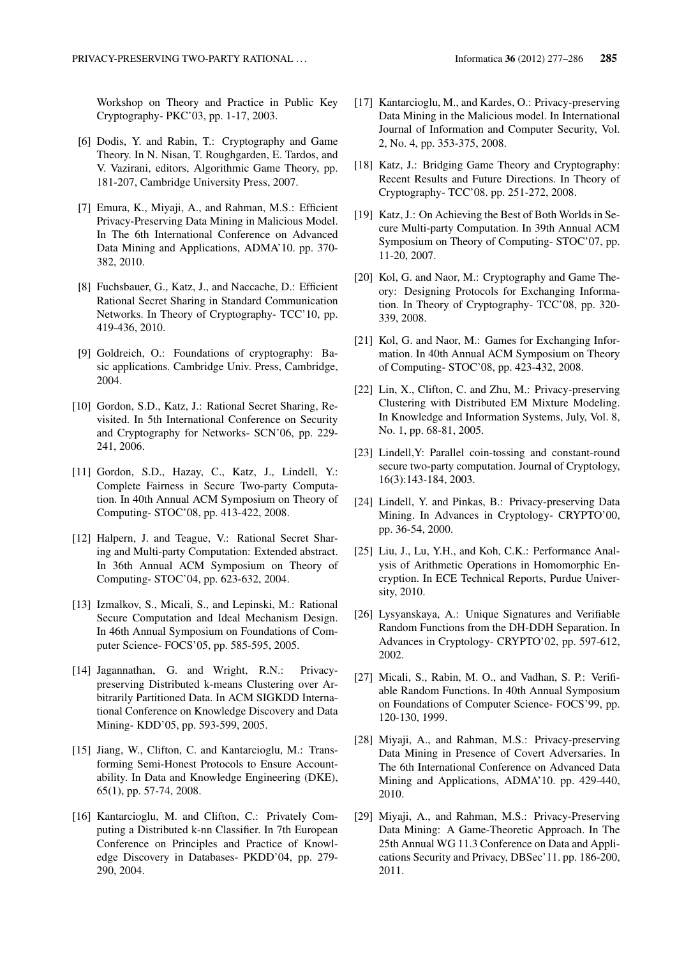Workshop on Theory and Practice in Public Key Cryptography- PKC'03, pp. 1-17, 2003.

- [6] Dodis, Y. and Rabin, T.: Cryptography and Game Theory. In N. Nisan, T. Roughgarden, E. Tardos, and V. Vazirani, editors, Algorithmic Game Theory, pp. 181-207, Cambridge University Press, 2007.
- [7] Emura, K., Miyaji, A., and Rahman, M.S.: Efficient Privacy-Preserving Data Mining in Malicious Model. In The 6th International Conference on Advanced Data Mining and Applications, ADMA'10. pp. 370- 382, 2010.
- [8] Fuchsbauer, G., Katz, J., and Naccache, D.: Efficient Rational Secret Sharing in Standard Communication Networks. In Theory of Cryptography- TCC'10, pp. 419-436, 2010.
- [9] Goldreich, O.: Foundations of cryptography: Basic applications. Cambridge Univ. Press, Cambridge, 2004.
- [10] Gordon, S.D., Katz, J.: Rational Secret Sharing, Revisited. In 5th International Conference on Security and Cryptography for Networks- SCN'06, pp. 229- 241, 2006.
- [11] Gordon, S.D., Hazay, C., Katz, J., Lindell, Y.: Complete Fairness in Secure Two-party Computation. In 40th Annual ACM Symposium on Theory of Computing- STOC'08, pp. 413-422, 2008.
- [12] Halpern, J. and Teague, V.: Rational Secret Sharing and Multi-party Computation: Extended abstract. In 36th Annual ACM Symposium on Theory of Computing- STOC'04, pp. 623-632, 2004.
- [13] Izmalkov, S., Micali, S., and Lepinski, M.: Rational Secure Computation and Ideal Mechanism Design. In 46th Annual Symposium on Foundations of Computer Science- FOCS'05, pp. 585-595, 2005.
- [14] Jagannathan, G. and Wright, R.N.: Privacypreserving Distributed k-means Clustering over Arbitrarily Partitioned Data. In ACM SIGKDD International Conference on Knowledge Discovery and Data Mining- KDD'05, pp. 593-599, 2005.
- [15] Jiang, W., Clifton, C. and Kantarcioglu, M.: Transforming Semi-Honest Protocols to Ensure Accountability. In Data and Knowledge Engineering (DKE), 65(1), pp. 57-74, 2008.
- [16] Kantarcioglu, M. and Clifton, C.: Privately Computing a Distributed k-nn Classifier. In 7th European Conference on Principles and Practice of Knowledge Discovery in Databases- PKDD'04, pp. 279- 290, 2004.
- [17] Kantarcioglu, M., and Kardes, O.: Privacy-preserving Data Mining in the Malicious model. In International Journal of Information and Computer Security, Vol. 2, No. 4, pp. 353-375, 2008.
- [18] Katz, J.: Bridging Game Theory and Cryptography: Recent Results and Future Directions. In Theory of Cryptography- TCC'08. pp. 251-272, 2008.
- [19] Katz, J.: On Achieving the Best of Both Worlds in Secure Multi-party Computation. In 39th Annual ACM Symposium on Theory of Computing- STOC'07, pp. 11-20, 2007.
- [20] Kol, G. and Naor, M.: Cryptography and Game Theory: Designing Protocols for Exchanging Information. In Theory of Cryptography- TCC'08, pp. 320- 339, 2008.
- [21] Kol, G. and Naor, M.: Games for Exchanging Information. In 40th Annual ACM Symposium on Theory of Computing- STOC'08, pp. 423-432, 2008.
- [22] Lin, X., Clifton, C. and Zhu, M.: Privacy-preserving Clustering with Distributed EM Mixture Modeling. In Knowledge and Information Systems, July, Vol. 8, No. 1, pp. 68-81, 2005.
- [23] Lindell, Y: Parallel coin-tossing and constant-round secure two-party computation. Journal of Cryptology, 16(3):143-184, 2003.
- [24] Lindell, Y. and Pinkas, B.: Privacy-preserving Data Mining. In Advances in Cryptology- CRYPTO'00, pp. 36-54, 2000.
- [25] Liu, J., Lu, Y.H., and Koh, C.K.: Performance Analysis of Arithmetic Operations in Homomorphic Encryption. In ECE Technical Reports, Purdue University, 2010.
- [26] Lysyanskaya, A.: Unique Signatures and Verifiable Random Functions from the DH-DDH Separation. In Advances in Cryptology- CRYPTO'02, pp. 597-612, 2002.
- [27] Micali, S., Rabin, M. O., and Vadhan, S. P.: Verifiable Random Functions. In 40th Annual Symposium on Foundations of Computer Science- FOCS'99, pp. 120-130, 1999.
- [28] Miyaji, A., and Rahman, M.S.: Privacy-preserving Data Mining in Presence of Covert Adversaries. In The 6th International Conference on Advanced Data Mining and Applications, ADMA'10. pp. 429-440, 2010.
- [29] Miyaji, A., and Rahman, M.S.: Privacy-Preserving Data Mining: A Game-Theoretic Approach. In The 25th Annual WG 11.3 Conference on Data and Applications Security and Privacy, DBSec'11. pp. 186-200, 2011.